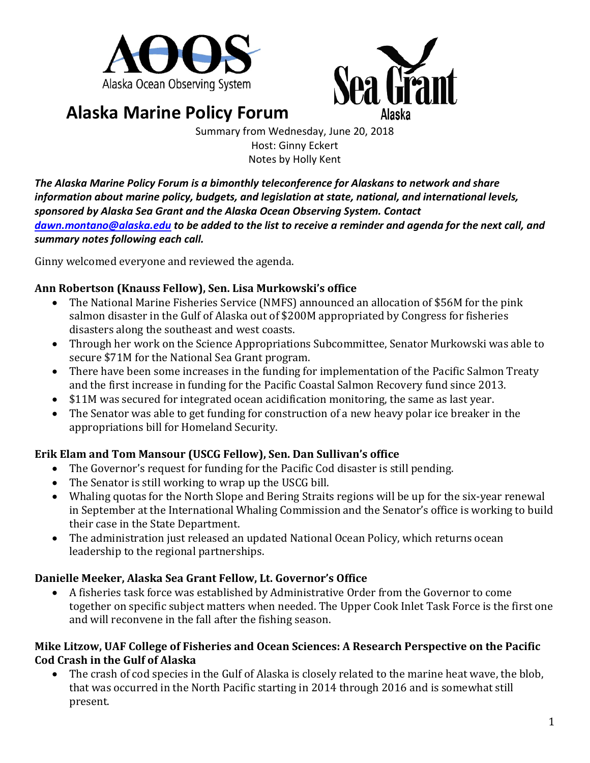



# **Alaska Marine Policy Forum**

Summary from Wednesday, June 20, 2018 Host: Ginny Eckert Notes by Holly Kent

*The Alaska Marine Policy Forum is a bimonthly teleconference for Alaskans to network and share information about marine policy, budgets, and legislation at state, national, and international levels, sponsored by Alaska Sea Grant and the Alaska Ocean Observing System. Contact [dawn.montano@alaska.edu](mailto:dawn.montano@alaska.edu) to be added to the list to receive a reminder and agenda for the next call, and summary notes following each call.*

Ginny welcomed everyone and reviewed the agenda.

### **Ann Robertson (Knauss Fellow), Sen. Lisa Murkowski's office**

- The National Marine Fisheries Service (NMFS) announced an allocation of \$56M for the pink salmon disaster in the Gulf of Alaska out of \$200M appropriated by Congress for fisheries disasters along the southeast and west coasts.
- Through her work on the Science Appropriations Subcommittee, Senator Murkowski was able to secure \$71M for the National Sea Grant program.
- There have been some increases in the funding for implementation of the Pacific Salmon Treaty and the first increase in funding for the Pacific Coastal Salmon Recovery fund since 2013.
- \$11M was secured for integrated ocean acidification monitoring, the same as last year.
- The Senator was able to get funding for construction of a new heavy polar ice breaker in the appropriations bill for Homeland Security.

## **Erik Elam and Tom Mansour (USCG Fellow), Sen. Dan Sullivan's office**

- The Governor's request for funding for the Pacific Cod disaster is still pending.
- The Senator is still working to wrap up the USCG bill.
- Whaling quotas for the North Slope and Bering Straits regions will be up for the six-year renewal in September at the International Whaling Commission and the Senator's office is working to build their case in the State Department.
- The administration just released an updated National Ocean Policy, which returns ocean leadership to the regional partnerships.

## **Danielle Meeker, Alaska Sea Grant Fellow, Lt. Governor's Office**

• A fisheries task force was established by Administrative Order from the Governor to come together on specific subject matters when needed. The Upper Cook Inlet Task Force is the first one and will reconvene in the fall after the fishing season.

#### **Mike Litzow, UAF College of Fisheries and Ocean Sciences: A Research Perspective on the Pacific Cod Crash in the Gulf of Alaska**

• The crash of cod species in the Gulf of Alaska is closely related to the marine heat wave, the blob, that was occurred in the North Pacific starting in 2014 through 2016 and is somewhat still present.